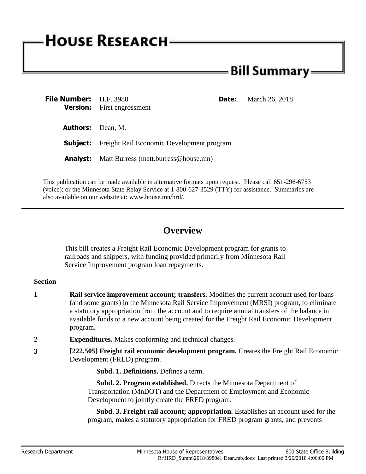# **HOUSE RESEARCH-**

# **Bill Summary:**

| <b>File Number:</b> H.F. 3980 | <b>Date:</b><br><b>Version:</b> First engrossment         | March 26, 2018 |
|-------------------------------|-----------------------------------------------------------|----------------|
| <b>Authors:</b> Dean, M.      |                                                           |                |
|                               | <b>Subject:</b> Freight Rail Economic Development program |                |
|                               | <b>Analyst:</b> Matt Burress (matt.burress@house.mn)      |                |

This publication can be made available in alternative formats upon request. Please call 651-296-6753 (voice); or the Minnesota State Relay Service at 1-800-627-3529 (TTY) for assistance. Summaries are also available on our website at: www.house.mn/hrd/.

## **Overview**

This bill creates a Freight Rail Economic Development program for grants to railroads and shippers, with funding provided primarily from Minnesota Rail Service Improvement program loan repayments.

### **Section**

- **1 Rail service improvement account; transfers.** Modifies the current account used for loans (and some grants) in the Minnesota Rail Service Improvement (MRSI) program, to eliminate a statutory appropriation from the account and to require annual transfers of the balance in available funds to a new account being created for the Freight Rail Economic Development program.
- **2 Expenditures.** Makes conforming and technical changes.
- **3 [222.505] Freight rail economic development program.** Creates the Freight Rail Economic Development (FRED) program.

**Subd. 1. Definitions.** Defines a term.

 **Subd. 2. Program established.** Directs the Minnesota Department of Transportation (MnDOT) and the Department of Employment and Economic Development to jointly create the FRED program.

 **Subd. 3. Freight rail account; appropriation.** Establishes an account used for the program, makes a statutory appropriation for FRED program grants, and prevents